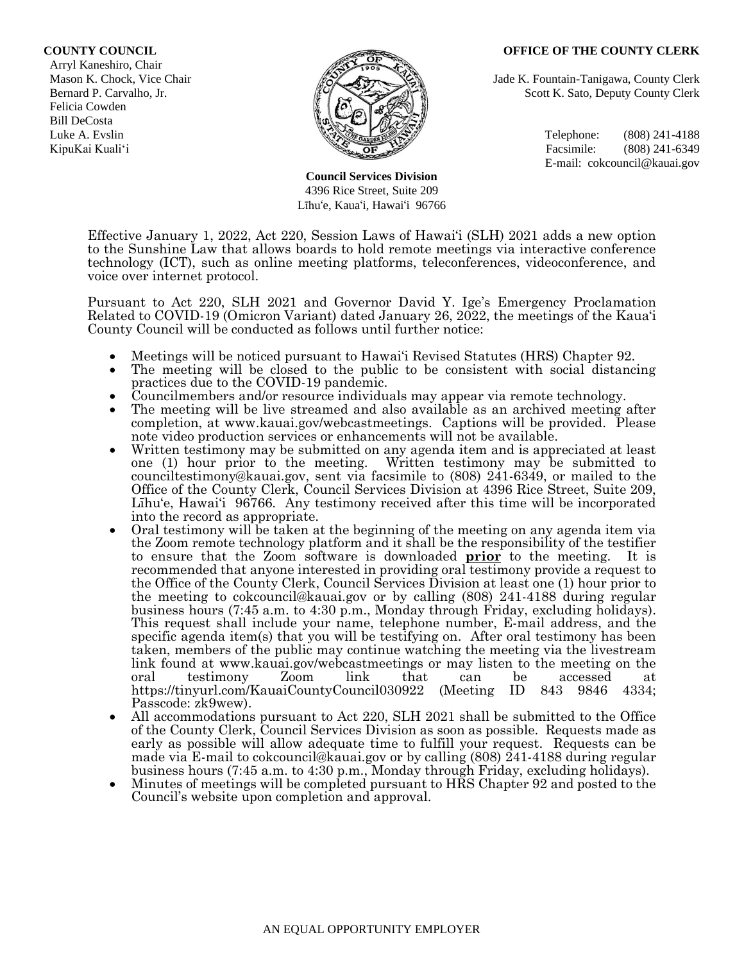#### **COUNTY COUNCIL OFFICE OF THE COUNTY CLERK**

 Arryl Kaneshiro, Chair Felicia Cowden Bill DeCosta



**Council Services Division** 4396 Rice Street, Suite 209 Līhu'e, Kaua'i, Hawai'i 96766

Mason K. Chock, Vice Chair **Jade K. Fountain-Tanigawa, County Clerk** Jade K. Fountain-Tanigawa, County Clerk Bernard P. Carvalho, Jr. Scott K. Sato, Deputy County Clerk

Luke A. Evslin  $\mathbb{R}^n$  Telephone: (808) 241-4188 KipuKai Kuali'i Facsimile: (808) 241-6349 E-mail: cokcouncil@kauai.gov

Effective January 1, 2022, Act 220, Session Laws of Hawai'i (SLH) 2021 adds a new option to the Sunshine Law that allows boards to hold remote meetings via interactive conference technology (ICT), such as online meeting platforms, teleconferences, videoconference, and voice over internet protocol.

Pursuant to Act 220, SLH 2021 and Governor David Y. Ige's Emergency Proclamation Related to COVID-19 (Omicron Variant) dated January 26, 2022, the meetings of the Kaua'i County Council will be conducted as follows until further notice:

- Meetings will be noticed pursuant to Hawai'i Revised Statutes (HRS) Chapter 92.
- The meeting will be closed to the public to be consistent with social distancing practices due to the COVID-19 pandemic.
- Councilmembers and/or resource individuals may appear via remote technology.
- The meeting will be live streamed and also available as an archived meeting after completion, at www.kauai.gov/webcastmeetings. Captions will be provided. Please note video production services or enhancements will not be available.
- Written testimony may be submitted on any agenda item and is appreciated at least one (1) hour prior to the meeting. Written testimony may be submitted to counciltestimony@kauai.gov, sent via facsimile to (808) 241-6349, or mailed to the Office of the County Clerk, Council Services Division at 4396 Rice Street, Suite 209, Līhu'e, Hawai'i 96766. Any testimony received after this time will be incorporated into the record as appropriate.
- Oral testimony will be taken at the beginning of the meeting on any agenda item via the Zoom remote technology platform and it shall be the responsibility of the testifier to ensure that the Zoom software is downloaded **prior** to the meeting. It is recommended that anyone interested in providing oral testimony provide a request to the Office of the County Clerk, Council Services Division at least one (1) hour prior to the meeting to cokcouncil@kauai.gov or by calling (808) 241-4188 during regular business hours (7:45 a.m. to 4:30 p.m., Monday through Friday, excluding holidays). This request shall include your name, telephone number, E-mail address, and the specific agenda item(s) that you will be testifying on. After oral testimony has been taken, members of the public may continue watching the meeting via the livestream link found at www.kauai.gov/webcastmeetings or may listen to the meeting on the oral testimony Zoom link that can be accessed at https://tinyurl.com/KauaiCountyCouncil030922 (Meeting ID 843 9846 4334; Passcode: zk9wew).
- All accommodations pursuant to Act 220, SLH 2021 shall be submitted to the Office of the County Clerk, Council Services Division as soon as possible. Requests made as early as possible will allow adequate time to fulfill your request. Requests can be made via E-mail to cokcouncil@kauai.gov or by calling (808) 241-4188 during regular business hours (7:45 a.m. to 4:30 p.m., Monday through Friday, excluding holidays).
- Minutes of meetings will be completed pursuant to HRS Chapter 92 and posted to the Council's website upon completion and approval.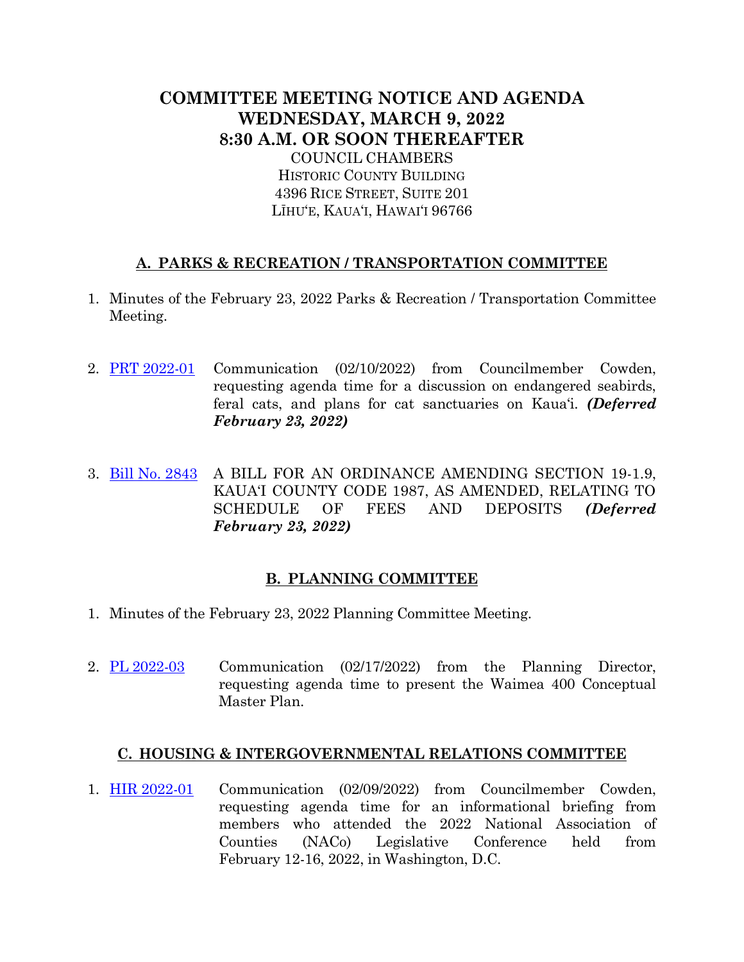# **COMMITTEE MEETING NOTICE AND AGENDA WEDNESDAY, MARCH 9, 2022 8:30 A.M. OR SOON THEREAFTER** COUNCIL CHAMBERS HISTORIC COUNTY BUILDING 4396 RICE STREET, SUITE 201 LĪHU'E, KAUA'I, HAWAI'I 96766

## **A. PARKS & RECREATION / TRANSPORTATION COMMITTEE**

- 1. Minutes of the February 23, 2022 Parks & Recreation / Transportation Committee Meeting.
- 2. PRT [2022-01](https://kauai.granicus.com/MetaViewer.php?meta_id=157198) Communication (02/10/2022) from Councilmember Cowden, requesting agenda time for a discussion on endangered seabirds, feral cats, and plans for cat sanctuaries on Kaua'i. *(Deferred February 23, 2022)*
- 3. [Bill No. 2843](https://kauai.granicus.com/MetaViewer.php?meta_id=157200) A BILL FOR AN ORDINANCE AMENDING SECTION 19-1.9, KAUA'I COUNTY CODE 1987, AS AMENDED, RELATING TO SCHEDULE OF FEES AND DEPOSITS *(Deferred February 23, 2022)*

### **B. PLANNING COMMITTEE**

- 1. Minutes of the February 23, 2022 Planning Committee Meeting.
- 2.  $PL\ 2022-03$  Communication (02/17/2022) from the Planning Director, requesting agenda time to present the Waimea 400 Conceptual Master Plan.

### **C. HOUSING & INTERGOVERNMENTAL RELATIONS COMMITTEE**

1. [HIR 2022-01](https://kauai.granicus.com/MetaViewer.php?meta_id=157205) Communication (02/09/2022) from Councilmember Cowden, requesting agenda time for an informational briefing from members who attended the 2022 National Association of Counties (NACo) Legislative Conference held from February 12-16, 2022, in Washington, D.C.